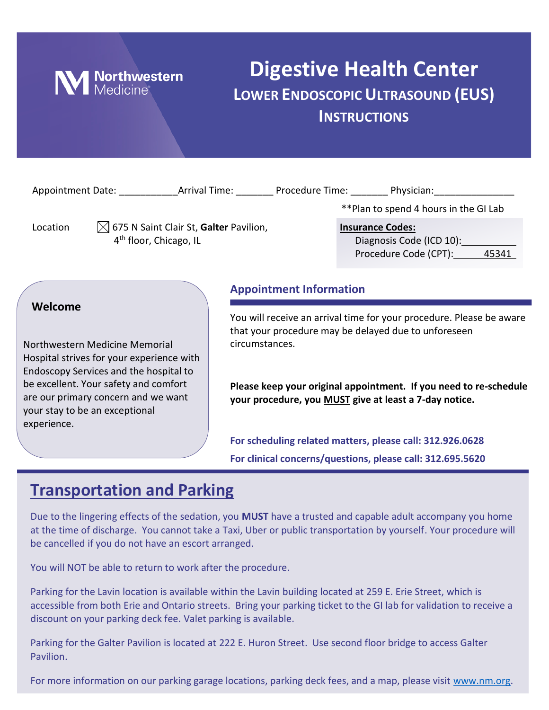

## **Digestive Health Center LOWER ENDOSCOPIC ULTRASOUND (EUS) INSTRUCTIONS**

|                                                                                                      |                                                                                                                                                                                                                                         |                                | ** Plan to spend 4 hours in the GI Lab                                                                                                                                                                                                                      |
|------------------------------------------------------------------------------------------------------|-----------------------------------------------------------------------------------------------------------------------------------------------------------------------------------------------------------------------------------------|--------------------------------|-------------------------------------------------------------------------------------------------------------------------------------------------------------------------------------------------------------------------------------------------------------|
| $\boxtimes$ 675 N Saint Clair St, Galter Pavilion,<br>Location<br>4 <sup>th</sup> floor, Chicago, IL |                                                                                                                                                                                                                                         |                                | <b>Insurance Codes:</b><br>Diagnosis Code (ICD 10):<br>Procedure Code (CPT): 45341                                                                                                                                                                          |
|                                                                                                      |                                                                                                                                                                                                                                         | <b>Appointment Information</b> |                                                                                                                                                                                                                                                             |
| Welcome<br>experience.                                                                               | Northwestern Medicine Memorial<br>Hospital strives for your experience with<br>Endoscopy Services and the hospital to<br>be excellent. Your safety and comfort<br>are our primary concern and we want<br>your stay to be an exceptional | circumstances.                 | You will receive an arrival time for your procedure. Please be aware<br>that your procedure may be delayed due to unforeseen<br>Please keep your original appointment. If you need to re-schedule<br>your procedure, you MUST give at least a 7-day notice. |
|                                                                                                      |                                                                                                                                                                                                                                         |                                | For scheduling related matters, please call: 312.926.0628<br>For clinical concerns/questions, please call: 312.695.5620                                                                                                                                     |

## **Transportation and Parking**

Due to the lingering effects of the sedation, you **MUST** have a trusted and capable adult accompany you home at the time of discharge. You cannot take a Taxi, Uber or public transportation by yourself. Your procedure will be cancelled if you do not have an escort arranged.

You will NOT be able to return to work after the procedure.

Parking for the Lavin location is available within the Lavin building located at 259 E. Erie Street, which is accessible from both Erie and Ontario streets. Bring your parking ticket to the GI lab for validation to receive a discount on your parking deck fee. Valet parking is available.

Parking for the Galter Pavilion is located at 222 E. Huron Street. Use second floor bridge to access Galter Pavilion.

For more information on our parking garage locations, parking deck fees, and a map, please visit [www.nm.org.](http://www.nm.org/)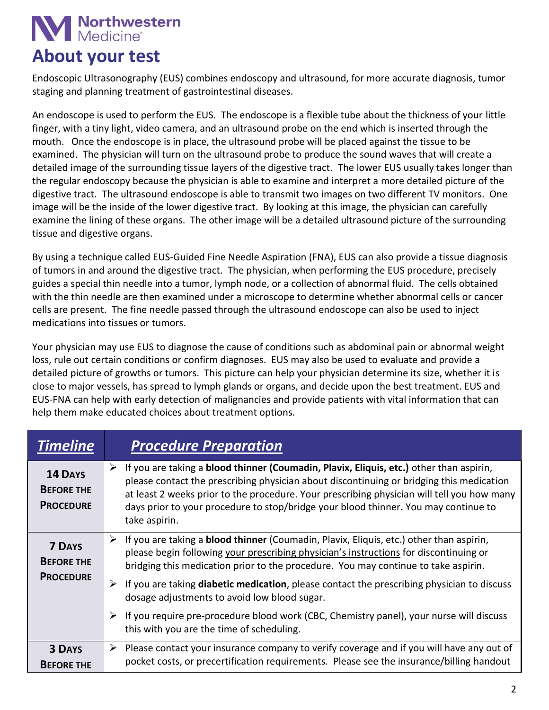# **N** Northwestern

## **About your test**

Endoscopic Ultrasonography (EUS) combines endoscopy and ultrasound, for more accurate diagnosis, tumor staging and planning treatment of gastrointestinal diseases.

An endoscope is used to perform the EUS. The endoscope is a flexible tube about the thickness of your little finger, with a tiny light, video camera, and an ultrasound probe on the end which is inserted through the mouth. Once the endoscope is in place, the ultrasound probe will be placed against the tissue to be examined. The physician will turn on the ultrasound probe to produce the sound waves that will create a detailed image of the surrounding tissue layers of the digestive tract. The lower EUS usually takes longer than the regular endoscopy because the physician is able to examine and interpret a more detailed picture of the digestive tract. The ultrasound endoscope is able to transmit two images on two different TV monitors. One image will be the inside of the lower digestive tract. By looking at this image, the physician can carefully examine the lining of these organs. The other image will be a detailed ultrasound picture of the surrounding tissue and digestive organs.

By using a technique called EUS-Guided Fine Needle Aspiration (FNA), EUS can also provide a tissue diagnosis of tumors in and around the digestive tract. The physician, when performing the EUS procedure, precisely guides a special thin needle into a tumor, lymph node, or a collection of abnormal fluid. The cells obtained with the thin needle are then examined under a microscope to determine whether abnormal cells or cancer cells are present. The fine needle passed through the ultrasound endoscope can also be used to inject medications into tissues or tumors.

Your physician may use EUS to diagnose the cause of conditions such as abdominal pain or abnormal weight loss, rule out certain conditions or confirm diagnoses. EUS may also be used to evaluate and provide a detailed picture of growths or tumors. This picture can help your physician determine its size, whether it is close to major vessels, has spread to lymph glands or organs, and decide upon the best treatment. EUS and EUS-FNA can help with early detection of malignancies and provide patients with vital information that can help them make educated choices about treatment options.

| <b>Timeline</b>                                        | <b>Procedure Preparation</b>                                                                                                                                                                                                                                                                                                                                                                   |
|--------------------------------------------------------|------------------------------------------------------------------------------------------------------------------------------------------------------------------------------------------------------------------------------------------------------------------------------------------------------------------------------------------------------------------------------------------------|
| 14 DAYS<br><b>BEFORE THE</b><br><b>PROCEDURE</b>       | If you are taking a blood thinner (Coumadin, Plavix, Eliquis, etc.) other than aspirin,<br>➤<br>please contact the prescribing physician about discontinuing or bridging this medication<br>at least 2 weeks prior to the procedure. Your prescribing physician will tell you how many<br>days prior to your procedure to stop/bridge your blood thinner. You may continue to<br>take aspirin. |
| <b>7 DAYS</b><br><b>BEFORE THE</b><br><b>PROCEDURE</b> | If you are taking a <b>blood thinner</b> (Coumadin, Plavix, Eliquis, etc.) other than aspirin,<br>➤<br>please begin following your prescribing physician's instructions for discontinuing or<br>bridging this medication prior to the procedure. You may continue to take aspirin.                                                                                                             |
|                                                        | $\triangleright$ If you are taking diabetic medication, please contact the prescribing physician to discuss<br>dosage adjustments to avoid low blood sugar.                                                                                                                                                                                                                                    |
|                                                        | If you require pre-procedure blood work (CBC, Chemistry panel), your nurse will discuss<br>➤<br>this with you are the time of scheduling.                                                                                                                                                                                                                                                      |
| <b>3 DAYS</b><br><b>BEFORE THE</b>                     | Please contact your insurance company to verify coverage and if you will have any out of<br>➤<br>pocket costs, or precertification requirements. Please see the insurance/billing handout                                                                                                                                                                                                      |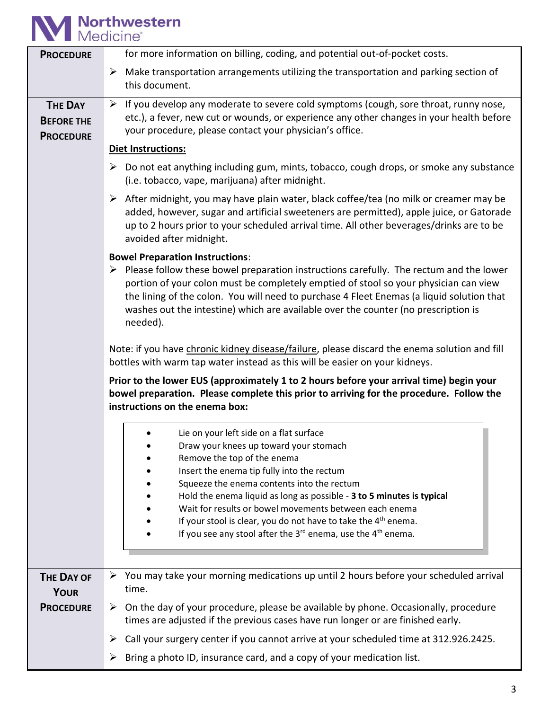## **M** Northwestern

| <b>PROCEDURE</b>                                        | for more information on billing, coding, and potential out-of-pocket costs.                                                                                                                                                                                                                                                                                                                    |  |  |  |
|---------------------------------------------------------|------------------------------------------------------------------------------------------------------------------------------------------------------------------------------------------------------------------------------------------------------------------------------------------------------------------------------------------------------------------------------------------------|--|--|--|
|                                                         | Make transportation arrangements utilizing the transportation and parking section of<br>➤<br>this document.                                                                                                                                                                                                                                                                                    |  |  |  |
| <b>THE DAY</b><br><b>BEFORE THE</b><br><b>PROCEDURE</b> | $\triangleright$ If you develop any moderate to severe cold symptoms (cough, sore throat, runny nose,<br>etc.), a fever, new cut or wounds, or experience any other changes in your health before<br>your procedure, please contact your physician's office.                                                                                                                                   |  |  |  |
|                                                         | Diet Instructions:                                                                                                                                                                                                                                                                                                                                                                             |  |  |  |
|                                                         | Do not eat anything including gum, mints, tobacco, cough drops, or smoke any substance<br>➤<br>(i.e. tobacco, vape, marijuana) after midnight.                                                                                                                                                                                                                                                 |  |  |  |
|                                                         | $\triangleright$ After midnight, you may have plain water, black coffee/tea (no milk or creamer may be<br>added, however, sugar and artificial sweeteners are permitted), apple juice, or Gatorade<br>up to 2 hours prior to your scheduled arrival time. All other beverages/drinks are to be<br>avoided after midnight.                                                                      |  |  |  |
|                                                         | <b>Bowel Preparation Instructions:</b>                                                                                                                                                                                                                                                                                                                                                         |  |  |  |
|                                                         | $\triangleright$ Please follow these bowel preparation instructions carefully. The rectum and the lower<br>portion of your colon must be completely emptied of stool so your physician can view<br>the lining of the colon. You will need to purchase 4 Fleet Enemas (a liquid solution that<br>washes out the intestine) which are available over the counter (no prescription is<br>needed). |  |  |  |
|                                                         | Note: if you have chronic kidney disease/failure, please discard the enema solution and fill<br>bottles with warm tap water instead as this will be easier on your kidneys.                                                                                                                                                                                                                    |  |  |  |
|                                                         | Prior to the lower EUS (approximately 1 to 2 hours before your arrival time) begin your<br>bowel preparation. Please complete this prior to arriving for the procedure. Follow the<br>instructions on the enema box:                                                                                                                                                                           |  |  |  |
|                                                         | Lie on your left side on a flat surface                                                                                                                                                                                                                                                                                                                                                        |  |  |  |
|                                                         | Draw your knees up toward your stomach                                                                                                                                                                                                                                                                                                                                                         |  |  |  |
|                                                         | Remove the top of the enema                                                                                                                                                                                                                                                                                                                                                                    |  |  |  |
|                                                         | Insert the enema tip fully into the rectum                                                                                                                                                                                                                                                                                                                                                     |  |  |  |
|                                                         | Squeeze the enema contents into the rectum                                                                                                                                                                                                                                                                                                                                                     |  |  |  |
|                                                         | Hold the enema liquid as long as possible - 3 to 5 minutes is typical<br>Wait for results or bowel movements between each enema                                                                                                                                                                                                                                                                |  |  |  |
|                                                         | If your stool is clear, you do not have to take the 4 <sup>th</sup> enema.                                                                                                                                                                                                                                                                                                                     |  |  |  |
|                                                         | If you see any stool after the $3^{rd}$ enema, use the $4^{th}$ enema.                                                                                                                                                                                                                                                                                                                         |  |  |  |
|                                                         |                                                                                                                                                                                                                                                                                                                                                                                                |  |  |  |
| <b>THE DAY OF</b><br><b>YOUR</b>                        | You may take your morning medications up until 2 hours before your scheduled arrival<br>➤<br>time.                                                                                                                                                                                                                                                                                             |  |  |  |
| <b>PROCEDURE</b>                                        | On the day of your procedure, please be available by phone. Occasionally, procedure<br>➤<br>times are adjusted if the previous cases have run longer or are finished early.                                                                                                                                                                                                                    |  |  |  |
|                                                         | Call your surgery center if you cannot arrive at your scheduled time at 312.926.2425.<br>➤                                                                                                                                                                                                                                                                                                     |  |  |  |
|                                                         | Bring a photo ID, insurance card, and a copy of your medication list.<br>➤                                                                                                                                                                                                                                                                                                                     |  |  |  |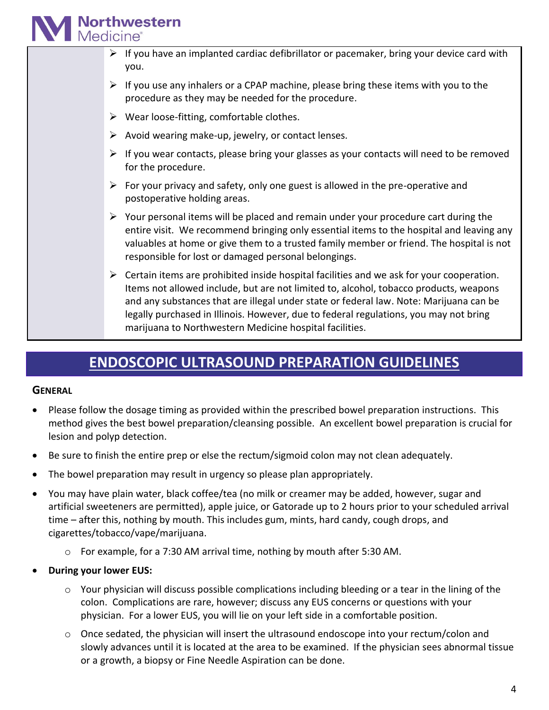## **Northwestern**<br>Medicine®

- $\triangleright$  If you have an implanted cardiac defibrillator or pacemaker, bring your device card with you.
- $\triangleright$  If you use any inhalers or a CPAP machine, please bring these items with you to the procedure as they may be needed for the procedure.
- $\triangleright$  Wear loose-fitting, comfortable clothes.
- $\triangleright$  Avoid wearing make-up, jewelry, or contact lenses.
- $\triangleright$  If you wear contacts, please bring your glasses as your contacts will need to be removed for the procedure.
- $\triangleright$  For your privacy and safety, only one guest is allowed in the pre-operative and postoperative holding areas.
- $\triangleright$  Your personal items will be placed and remain under your procedure cart during the entire visit. We recommend bringing only essential items to the hospital and leaving any valuables at home or give them to a trusted family member or friend. The hospital is not responsible for lost or damaged personal belongings.
- $\triangleright$  Certain items are prohibited inside hospital facilities and we ask for your cooperation. Items not allowed include, but are not limited to, alcohol, tobacco products, weapons and any substances that are illegal under state or federal law. Note: Marijuana can be legally purchased in Illinois. However, due to federal regulations, you may not bring marijuana to Northwestern Medicine hospital facilities.

## **ENDOSCOPIC ULTRASOUND PREPARATION GUIDELINES**

### **GENERAL**

- Please follow the dosage timing as provided within the prescribed bowel preparation instructions. This method gives the best bowel preparation/cleansing possible. An excellent bowel preparation is crucial for lesion and polyp detection.
- Be sure to finish the entire prep or else the rectum/sigmoid colon may not clean adequately.
- The bowel preparation may result in urgency so please plan appropriately.
- You may have plain water, black coffee/tea (no milk or creamer may be added, however, sugar and artificial sweeteners are permitted), apple juice, or Gatorade up to 2 hours prior to your scheduled arrival time – after this, nothing by mouth. This includes gum, mints, hard candy, cough drops, and cigarettes/tobacco/vape/marijuana.
	- $\circ$  For example, for a 7:30 AM arrival time, nothing by mouth after 5:30 AM.
- **During your lower EUS:**
	- $\circ$  Your physician will discuss possible complications including bleeding or a tear in the lining of the colon. Complications are rare, however; discuss any EUS concerns or questions with your physician. For a lower EUS, you will lie on your left side in a comfortable position.
	- $\circ$  Once sedated, the physician will insert the ultrasound endoscope into your rectum/colon and slowly advances until it is located at the area to be examined. If the physician sees abnormal tissue or a growth, a biopsy or Fine Needle Aspiration can be done.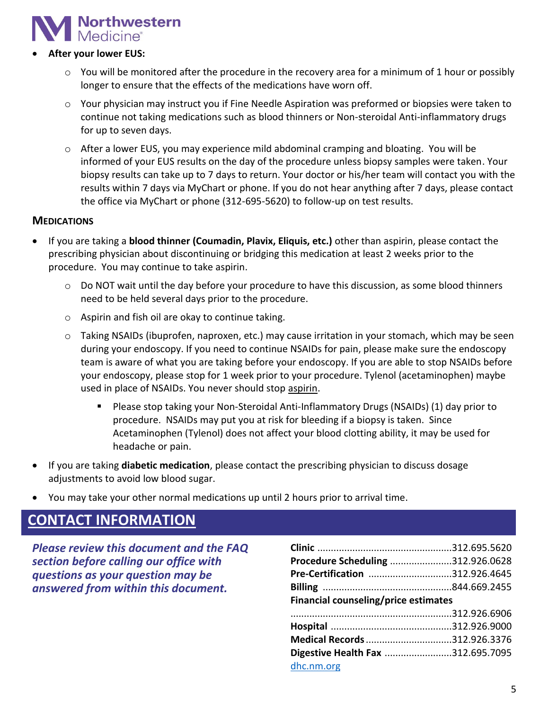

#### • **After your lower EUS:**

- $\circ$  You will be monitored after the procedure in the recovery area for a minimum of 1 hour or possibly longer to ensure that the effects of the medications have worn off.
- $\circ$  Your physician may instruct you if Fine Needle Aspiration was preformed or biopsies were taken to continue not taking medications such as blood thinners or Non-steroidal Anti-inflammatory drugs for up to seven days.
- $\circ$  After a lower EUS, you may experience mild abdominal cramping and bloating. You will be informed of your EUS results on the day of the procedure unless biopsy samples were taken. Your biopsy results can take up to 7 days to return. Your doctor or his/her team will contact you with the results within 7 days via MyChart or phone. If you do not hear anything after 7 days, please contact the office via MyChart or phone (312-695-5620) to follow-up on test results.

#### **MEDICATIONS**

- If you are taking a **blood thinner (Coumadin, Plavix, Eliquis, etc.)** other than aspirin, please contact the prescribing physician about discontinuing or bridging this medication at least 2 weeks prior to the procedure. You may continue to take aspirin.
	- o Do NOT wait until the day before your procedure to have this discussion, as some blood thinners need to be held several days prior to the procedure.
	- o Aspirin and fish oil are okay to continue taking.
	- $\circ$  Taking NSAIDs (ibuprofen, naproxen, etc.) may cause irritation in your stomach, which may be seen during your endoscopy. If you need to continue NSAIDs for pain, please make sure the endoscopy team is aware of what you are taking before your endoscopy. If you are able to stop NSAIDs before your endoscopy, please stop for 1 week prior to your procedure. Tylenol (acetaminophen) maybe used in place of NSAIDs. You never should stop aspirin.
		- Please stop taking your Non-Steroidal Anti-Inflammatory Drugs (NSAIDs) (1) day prior to procedure. NSAIDs may put you at risk for bleeding if a biopsy is taken. Since Acetaminophen (Tylenol) does not affect your blood clotting ability, it may be used for headache or pain.
- If you are taking **diabetic medication**, please contact the prescribing physician to discuss dosage adjustments to avoid low blood sugar.
- You may take your other normal medications up until 2 hours prior to arrival time.

## **CONTACT INFORMATION**

*Please review this document and the FAQ section before calling our office with questions as your question may be answered from within this document.*

| Procedure Scheduling 312.926.0628    |  |
|--------------------------------------|--|
| Pre-Certification 312.926.4645       |  |
|                                      |  |
| Financial counseling/price estimates |  |
|                                      |  |
|                                      |  |
|                                      |  |
| Medical Records 312.926.3376         |  |
| Digestive Health Fax 312.695.7095    |  |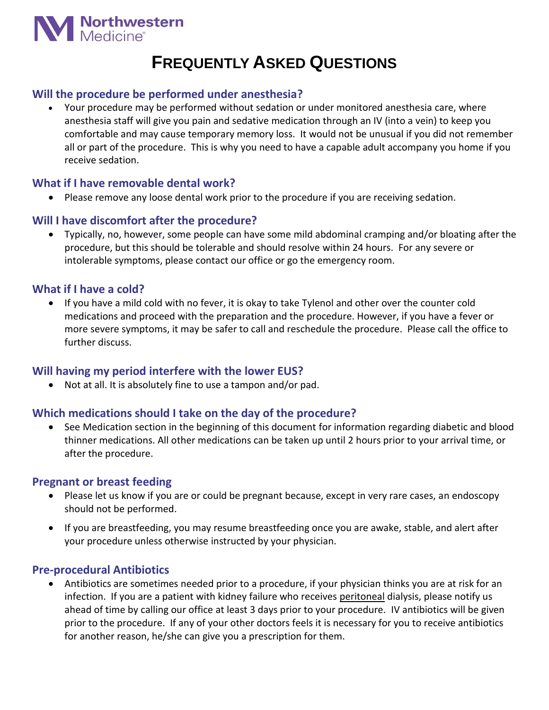

## **FREQUENTLY ASKED QUESTIONS**

## **Will the procedure be performed under anesthesia?**

• Your procedure may be performed without sedation or under monitored anesthesia care, where anesthesia staff will give you pain and sedative medication through an IV (into a vein) to keep you comfortable and may cause temporary memory loss. It would not be unusual if you did not remember all or part of the procedure. This is why you need to have a capable adult accompany you home if you receive sedation.

## **What if I have removable dental work?**

• Please remove any loose dental work prior to the procedure if you are receiving sedation.

## **Will I have discomfort after the procedure?**

• Typically, no, however, some people can have some mild abdominal cramping and/or bloating after the procedure, but this should be tolerable and should resolve within 24 hours. For any severe or intolerable symptoms, please contact our office or go the emergency room.

## **What if I have a cold?**

• If you have a mild cold with no fever, it is okay to take Tylenol and other over the counter cold medications and proceed with the preparation and the procedure. However, if you have a fever or more severe symptoms, it may be safer to call and reschedule the procedure. Please call the office to further discuss.

### **Will having my period interfere with the lower EUS?**

• Not at all. It is absolutely fine to use a tampon and/or pad.

## **Which medications should I take on the day of the procedure?**

• See Medication section in the beginning of this document for information regarding diabetic and blood thinner medications. All other medications can be taken up until 2 hours prior to your arrival time, or after the procedure.

### **Pregnant or breast feeding**

- Please let us know if you are or could be pregnant because, except in very rare cases, an endoscopy should not be performed.
- If you are breastfeeding, you may resume breastfeeding once you are awake, stable, and alert after your procedure unless otherwise instructed by your physician.

### **Pre-procedural Antibiotics**

• Antibiotics are sometimes needed prior to a procedure, if your physician thinks you are at risk for an infection. If you are a patient with kidney failure who receives peritoneal dialysis, please notify us ahead of time by calling our office at least 3 days prior to your procedure. IV antibiotics will be given prior to the procedure. If any of your other doctors feels it is necessary for you to receive antibiotics for another reason, he/she can give you a prescription for them.